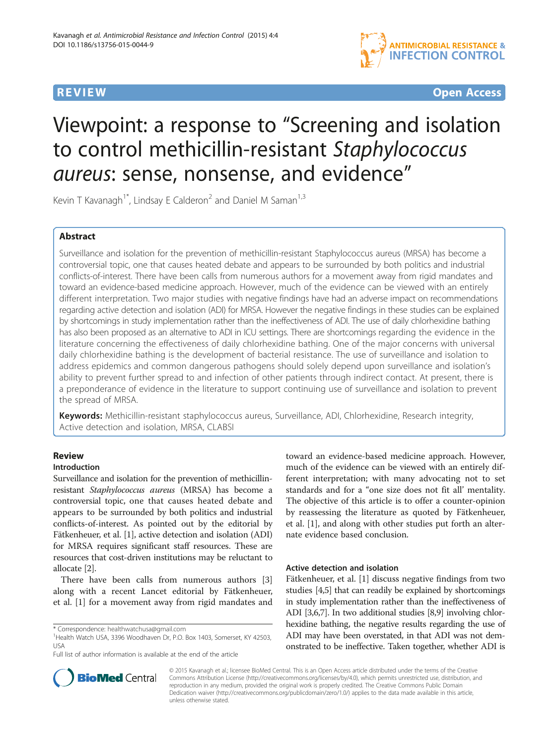

**REVIEW CONSTRUCTION CONSTRUCTION CONSTRUCTION CONSTRUCTS** 

# Viewpoint: a response to "Screening and isolation to control methicillin-resistant Staphylococcus aureus: sense, nonsense, and evidence"

Kevin T Kavanagh<sup>1\*</sup>, Lindsay E Calderon<sup>2</sup> and Daniel M Saman<sup>1,3</sup>

# Abstract

Surveillance and isolation for the prevention of methicillin-resistant Staphylococcus aureus (MRSA) has become a controversial topic, one that causes heated debate and appears to be surrounded by both politics and industrial conflicts-of-interest. There have been calls from numerous authors for a movement away from rigid mandates and toward an evidence-based medicine approach. However, much of the evidence can be viewed with an entirely different interpretation. Two major studies with negative findings have had an adverse impact on recommendations regarding active detection and isolation (ADI) for MRSA. However the negative findings in these studies can be explained by shortcomings in study implementation rather than the ineffectiveness of ADI. The use of daily chlorhexidine bathing has also been proposed as an alternative to ADI in ICU settings. There are shortcomings regarding the evidence in the literature concerning the effectiveness of daily chlorhexidine bathing. One of the major concerns with universal daily chlorhexidine bathing is the development of bacterial resistance. The use of surveillance and isolation to address epidemics and common dangerous pathogens should solely depend upon surveillance and isolation's ability to prevent further spread to and infection of other patients through indirect contact. At present, there is a preponderance of evidence in the literature to support continuing use of surveillance and isolation to prevent the spread of MRSA.

Keywords: Methicillin-resistant staphylococcus aureus, Surveillance, ADI, Chlorhexidine, Research integrity, Active detection and isolation, MRSA, CLABSI

# Review

# Introduction

Surveillance and isolation for the prevention of methicillinresistant Staphylococcus aureus (MRSA) has become a controversial topic, one that causes heated debate and appears to be surrounded by both politics and industrial conflicts-of-interest. As pointed out by the editorial by Fätkenheuer, et al. [\[1\]](#page-3-0), active detection and isolation (ADI) for MRSA requires significant staff resources. These are resources that cost-driven institutions may be reluctant to allocate [[2\]](#page-3-0).

There have been calls from numerous authors [\[3](#page-3-0)] along with a recent Lancet editorial by Fätkenheuer, et al. [\[1](#page-3-0)] for a movement away from rigid mandates and

Full list of author information is available at the end of the article

toward an evidence-based medicine approach. However, much of the evidence can be viewed with an entirely different interpretation; with many advocating not to set standards and for a "one size does not fit all' mentality. The objective of this article is to offer a counter-opinion by reassessing the literature as quoted by Fätkenheuer, et al. [[1\]](#page-3-0), and along with other studies put forth an alternate evidence based conclusion.

# Active detection and isolation

Fätkenheuer, et al. [[1](#page-3-0)] discuss negative findings from two studies [\[4,](#page-3-0)[5\]](#page-4-0) that can readily be explained by shortcomings in study implementation rather than the ineffectiveness of ADI [[3](#page-3-0)[,6,7\]](#page-4-0). In two additional studies [\[8,9\]](#page-4-0) involving chlorhexidine bathing, the negative results regarding the use of ADI may have been overstated, in that ADI was not demonstrated to be ineffective. Taken together, whether ADI is



© 2015 Kavanagh et al.; licensee BioMed Central. This is an Open Access article distributed under the terms of the Creative Commons Attribution License [\(http://creativecommons.org/licenses/by/4.0\)](http://creativecommons.org/licenses/by/4.0), which permits unrestricted use, distribution, and reproduction in any medium, provided the original work is properly credited. The Creative Commons Public Domain Dedication waiver [\(http://creativecommons.org/publicdomain/zero/1.0/](http://creativecommons.org/publicdomain/zero/1.0/)) applies to the data made available in this article, unless otherwise stated.

<sup>\*</sup> Correspondence: [healthwatchusa@gmail.com](mailto:healthwatchusa@gmail.com) <sup>1</sup>

<sup>&</sup>lt;sup>1</sup>Health Watch USA, 3396 Woodhaven Dr, P.O. Box 1403, Somerset, KY 42503, USA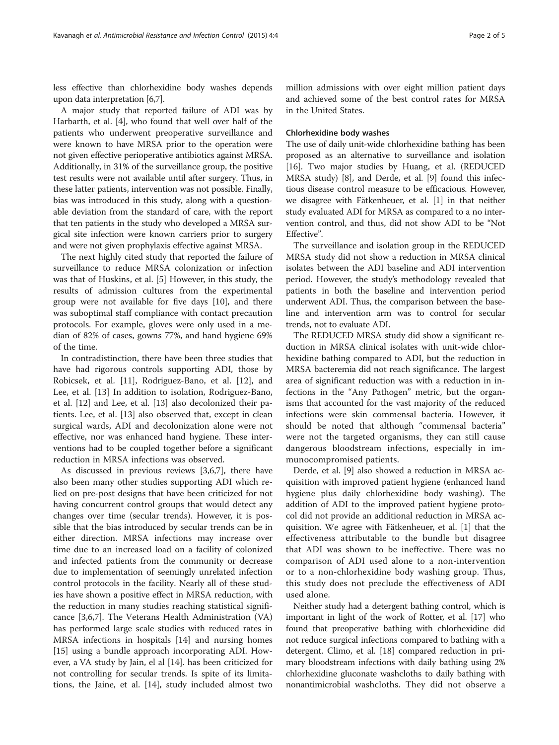less effective than chlorhexidine body washes depends upon data interpretation [\[6,7](#page-4-0)].

A major study that reported failure of ADI was by Harbarth, et al. [\[4\]](#page-3-0), who found that well over half of the patients who underwent preoperative surveillance and were known to have MRSA prior to the operation were not given effective perioperative antibiotics against MRSA. Additionally, in 31% of the surveillance group, the positive test results were not available until after surgery. Thus, in these latter patients, intervention was not possible. Finally, bias was introduced in this study, along with a questionable deviation from the standard of care, with the report that ten patients in the study who developed a MRSA surgical site infection were known carriers prior to surgery and were not given prophylaxis effective against MRSA.

The next highly cited study that reported the failure of surveillance to reduce MRSA colonization or infection was that of Huskins, et al. [[5](#page-4-0)] However, in this study, the results of admission cultures from the experimental group were not available for five days [[10](#page-4-0)], and there was suboptimal staff compliance with contact precaution protocols. For example, gloves were only used in a median of 82% of cases, gowns 77%, and hand hygiene 69% of the time.

In contradistinction, there have been three studies that have had rigorous controls supporting ADI, those by Robicsek, et al. [\[11\]](#page-4-0), Rodriguez-Bano, et al. [\[12\]](#page-4-0), and Lee, et al. [[13\]](#page-4-0) In addition to isolation, Rodriguez-Bano, et al. [[12\]](#page-4-0) and Lee, et al. [\[13\]](#page-4-0) also decolonized their patients. Lee, et al. [\[13](#page-4-0)] also observed that, except in clean surgical wards, ADI and decolonization alone were not effective, nor was enhanced hand hygiene. These interventions had to be coupled together before a significant reduction in MRSA infections was observed.

As discussed in previous reviews [\[3](#page-3-0)[,6,7](#page-4-0)], there have also been many other studies supporting ADI which relied on pre-post designs that have been criticized for not having concurrent control groups that would detect any changes over time (secular trends). However, it is possible that the bias introduced by secular trends can be in either direction. MRSA infections may increase over time due to an increased load on a facility of colonized and infected patients from the community or decrease due to implementation of seemingly unrelated infection control protocols in the facility. Nearly all of these studies have shown a positive effect in MRSA reduction, with the reduction in many studies reaching statistical significance [[3,](#page-3-0)[6,7\]](#page-4-0). The Veterans Health Administration (VA) has performed large scale studies with reduced rates in MRSA infections in hospitals [\[14](#page-4-0)] and nursing homes [[15\]](#page-4-0) using a bundle approach incorporating ADI. However, a VA study by Jain, el al [[14\]](#page-4-0). has been criticized for not controlling for secular trends. Is spite of its limitations, the Jaine, et al. [\[14](#page-4-0)], study included almost two

million admissions with over eight million patient days and achieved some of the best control rates for MRSA in the United States.

### Chlorhexidine body washes

The use of daily unit-wide chlorhexidine bathing has been proposed as an alternative to surveillance and isolation [[16](#page-4-0)]. Two major studies by Huang, et al. (REDUCED MRSA study) [\[8](#page-4-0)], and Derde, et al. [\[9\]](#page-4-0) found this infectious disease control measure to be efficacious. However, we disagree with Fätkenheuer, et al. [\[1](#page-3-0)] in that neither study evaluated ADI for MRSA as compared to a no intervention control, and thus, did not show ADI to be "Not Effective".

The surveillance and isolation group in the REDUCED MRSA study did not show a reduction in MRSA clinical isolates between the ADI baseline and ADI intervention period. However, the study's methodology revealed that patients in both the baseline and intervention period underwent ADI. Thus, the comparison between the baseline and intervention arm was to control for secular trends, not to evaluate ADI.

The REDUCED MRSA study did show a significant reduction in MRSA clinical isolates with unit-wide chlorhexidine bathing compared to ADI, but the reduction in MRSA bacteremia did not reach significance. The largest area of significant reduction was with a reduction in infections in the "Any Pathogen" metric, but the organisms that accounted for the vast majority of the reduced infections were skin commensal bacteria. However, it should be noted that although "commensal bacteria" were not the targeted organisms, they can still cause dangerous bloodstream infections, especially in immunocompromised patients.

Derde, et al. [[9](#page-4-0)] also showed a reduction in MRSA acquisition with improved patient hygiene (enhanced hand hygiene plus daily chlorhexidine body washing). The addition of ADI to the improved patient hygiene protocol did not provide an additional reduction in MRSA acquisition. We agree with Fätkenheuer, et al. [\[1](#page-3-0)] that the effectiveness attributable to the bundle but disagree that ADI was shown to be ineffective. There was no comparison of ADI used alone to a non-intervention or to a non-chlorhexidine body washing group. Thus, this study does not preclude the effectiveness of ADI used alone.

Neither study had a detergent bathing control, which is important in light of the work of Rotter, et al. [[17](#page-4-0)] who found that preoperative bathing with chlorhexidine did not reduce surgical infections compared to bathing with a detergent. Climo, et al. [[18](#page-4-0)] compared reduction in primary bloodstream infections with daily bathing using 2% chlorhexidine gluconate washcloths to daily bathing with nonantimicrobial washcloths. They did not observe a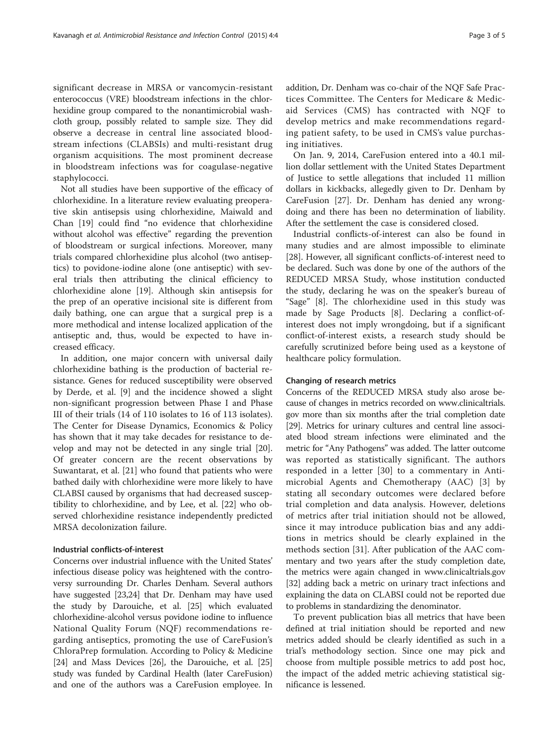significant decrease in MRSA or vancomycin-resistant enterococcus (VRE) bloodstream infections in the chlorhexidine group compared to the nonantimicrobial washcloth group, possibly related to sample size. They did observe a decrease in central line associated bloodstream infections (CLABSIs) and multi-resistant drug organism acquisitions. The most prominent decrease in bloodstream infections was for coagulase-negative staphylococci.

Not all studies have been supportive of the efficacy of chlorhexidine. In a literature review evaluating preoperative skin antisepsis using chlorhexidine, Maiwald and Chan [[19\]](#page-4-0) could find "no evidence that chlorhexidine without alcohol was effective" regarding the prevention of bloodstream or surgical infections. Moreover, many trials compared chlorhexidine plus alcohol (two antiseptics) to povidone-iodine alone (one antiseptic) with several trials then attributing the clinical efficiency to chlorhexidine alone [\[19\]](#page-4-0). Although skin antisepsis for the prep of an operative incisional site is different from daily bathing, one can argue that a surgical prep is a more methodical and intense localized application of the antiseptic and, thus, would be expected to have increased efficacy.

In addition, one major concern with universal daily chlorhexidine bathing is the production of bacterial resistance. Genes for reduced susceptibility were observed by Derde, et al. [\[9](#page-4-0)] and the incidence showed a slight non-significant progression between Phase I and Phase III of their trials (14 of 110 isolates to 16 of 113 isolates). The Center for Disease Dynamics, Economics & Policy has shown that it may take decades for resistance to develop and may not be detected in any single trial [\[20](#page-4-0)]. Of greater concern are the recent observations by Suwantarat, et al. [[21](#page-4-0)] who found that patients who were bathed daily with chlorhexidine were more likely to have CLABSI caused by organisms that had decreased susceptibility to chlorhexidine, and by Lee, et al. [\[22\]](#page-4-0) who observed chlorhexidine resistance independently predicted MRSA decolonization failure.

# Industrial conflicts-of-interest

Concerns over industrial influence with the United States' infectious disease policy was heightened with the controversy surrounding Dr. Charles Denham. Several authors have suggested [\[23,24](#page-4-0)] that Dr. Denham may have used the study by Darouiche, et al. [[25](#page-4-0)] which evaluated chlorhexidine-alcohol versus povidone iodine to influence National Quality Forum (NQF) recommendations regarding antiseptics, promoting the use of CareFusion's ChloraPrep formulation. According to Policy & Medicine [[24](#page-4-0)] and Mass Devices [\[26\]](#page-4-0), the Darouiche, et al. [[25](#page-4-0)] study was funded by Cardinal Health (later CareFusion) and one of the authors was a CareFusion employee. In

addition, Dr. Denham was co-chair of the NQF Safe Practices Committee. The Centers for Medicare & Medicaid Services (CMS) has contracted with NQF to develop metrics and make recommendations regarding patient safety, to be used in CMS's value purchasing initiatives.

On Jan. 9, 2014, CareFusion entered into a 40.1 million dollar settlement with the United States Department of Justice to settle allegations that included 11 million dollars in kickbacks, allegedly given to Dr. Denham by CareFusion [[27](#page-4-0)]. Dr. Denham has denied any wrongdoing and there has been no determination of liability. After the settlement the case is considered closed.

Industrial conflicts-of-interest can also be found in many studies and are almost impossible to eliminate [[28\]](#page-4-0). However, all significant conflicts-of-interest need to be declared. Such was done by one of the authors of the REDUCED MRSA Study, whose institution conducted the study, declaring he was on the speaker's bureau of "Sage" [\[8\]](#page-4-0). The chlorhexidine used in this study was made by Sage Products [[8\]](#page-4-0). Declaring a conflict-ofinterest does not imply wrongdoing, but if a significant conflict-of-interest exists, a research study should be carefully scrutinized before being used as a keystone of healthcare policy formulation.

# Changing of research metrics

Concerns of the REDUCED MRSA study also arose because of changes in metrics recorded on [www.clinicaltrials.](http://www.clinicaltrials.gov) [gov](http://www.clinicaltrials.gov) more than six months after the trial completion date [[29](#page-4-0)]. Metrics for urinary cultures and central line associated blood stream infections were eliminated and the metric for "Any Pathogens" was added. The latter outcome was reported as statistically significant. The authors responded in a letter [\[30\]](#page-4-0) to a commentary in Antimicrobial Agents and Chemotherapy (AAC) [\[3](#page-3-0)] by stating all secondary outcomes were declared before trial completion and data analysis. However, deletions of metrics after trial initiation should not be allowed, since it may introduce publication bias and any additions in metrics should be clearly explained in the methods section [[31](#page-4-0)]. After publication of the AAC commentary and two years after the study completion date, the metrics were again changed in [www.clinicaltrials.gov](http://www.clinicaltrials.gov) [[32](#page-4-0)] adding back a metric on urinary tract infections and explaining the data on CLABSI could not be reported due to problems in standardizing the denominator.

To prevent publication bias all metrics that have been defined at trial initiation should be reported and new metrics added should be clearly identified as such in a trial's methodology section. Since one may pick and choose from multiple possible metrics to add post hoc, the impact of the added metric achieving statistical significance is lessened.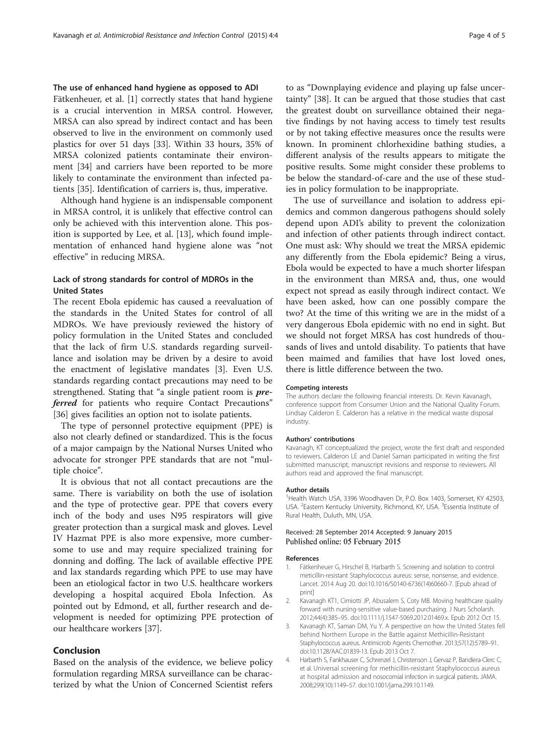#### <span id="page-3-0"></span>The use of enhanced hand hygiene as opposed to ADI

Fätkenheuer, et al. [1] correctly states that hand hygiene is a crucial intervention in MRSA control. However, MRSA can also spread by indirect contact and has been observed to live in the environment on commonly used plastics for over 51 days [[33](#page-4-0)]. Within 33 hours, 35% of MRSA colonized patients contaminate their environment [\[34](#page-4-0)] and carriers have been reported to be more likely to contaminate the environment than infected patients [\[35](#page-4-0)]. Identification of carriers is, thus, imperative.

Although hand hygiene is an indispensable component in MRSA control, it is unlikely that effective control can only be achieved with this intervention alone. This position is supported by Lee, et al. [[13\]](#page-4-0), which found implementation of enhanced hand hygiene alone was "not effective" in reducing MRSA.

# Lack of strong standards for control of MDROs in the United States

The recent Ebola epidemic has caused a reevaluation of the standards in the United States for control of all MDROs. We have previously reviewed the history of policy formulation in the United States and concluded that the lack of firm U.S. standards regarding surveillance and isolation may be driven by a desire to avoid the enactment of legislative mandates [3]. Even U.S. standards regarding contact precautions may need to be strengthened. Stating that "a single patient room is *pre*ferred for patients who require Contact Precautions" [[36\]](#page-4-0) gives facilities an option not to isolate patients.

The type of personnel protective equipment (PPE) is also not clearly defined or standardized. This is the focus of a major campaign by the National Nurses United who advocate for stronger PPE standards that are not "multiple choice".

It is obvious that not all contact precautions are the same. There is variability on both the use of isolation and the type of protective gear. PPE that covers every inch of the body and uses N95 respirators will give greater protection than a surgical mask and gloves. Level IV Hazmat PPE is also more expensive, more cumbersome to use and may require specialized training for donning and doffing. The lack of available effective PPE and lax standards regarding which PPE to use may have been an etiological factor in two U.S. healthcare workers developing a hospital acquired Ebola Infection. As pointed out by Edmond, et all, further research and development is needed for optimizing PPE protection of our healthcare workers [\[37](#page-4-0)].

# Conclusion

Based on the analysis of the evidence, we believe policy formulation regarding MRSA surveillance can be characterized by what the Union of Concerned Scientist refers

to as "Downplaying evidence and playing up false uncertainty" [[38\]](#page-4-0). It can be argued that those studies that cast the greatest doubt on surveillance obtained their negative findings by not having access to timely test results or by not taking effective measures once the results were known. In prominent chlorhexidine bathing studies, a different analysis of the results appears to mitigate the positive results. Some might consider these problems to be below the standard-of-care and the use of these studies in policy formulation to be inappropriate.

The use of surveillance and isolation to address epidemics and common dangerous pathogens should solely depend upon ADI's ability to prevent the colonization and infection of other patients through indirect contact. One must ask: Why should we treat the MRSA epidemic any differently from the Ebola epidemic? Being a virus, Ebola would be expected to have a much shorter lifespan in the environment than MRSA and, thus, one would expect not spread as easily through indirect contact. We have been asked, how can one possibly compare the two? At the time of this writing we are in the midst of a very dangerous Ebola epidemic with no end in sight. But we should not forget MRSA has cost hundreds of thousands of lives and untold disability. To patients that have been maimed and families that have lost loved ones, there is little difference between the two.

#### Competing interests

The authors declare the following financial interests. Dr. Kevin Kavanagh, conference support from Consumer Union and the National Quality Forum. Lindsay Calderon E. Calderon has a relative in the medical waste disposal industry.

#### Authors' contributions

Kavanagh, KT conceptualized the project, wrote the first draft and responded to reviewers. Calderon LE and Daniel Saman participated in writing the first submitted manuscript, manuscript revisions and response to reviewers. All authors read and approved the final manuscript.

#### Author details

<sup>1</sup>Health Watch USA, 3396 Woodhaven Dr, P.O. Box 1403, Somerset, KY 42503, USA. <sup>2</sup>Eastern Kentucky University, Richmond, KY, USA. <sup>3</sup>Essentia Institute of Rural Health, Duluth, MN, USA.

#### Received: 28 September 2014 Accepted: 9 January 2015 Published online: 05 February 2015

#### References

- 1. Fätkenheuer G, Hirschel B, Harbarth S. Screening and isolation to control meticillin-resistant Staphylococcus aureus: sense, nonsense, and evidence. Lancet. 2014 Aug 20. doi:10.1016/S0140-6736(14)60660-7. [Epub ahead of print]
- 2. Kavanagh KT1, Cimiotti JP, Abusalem S, Coty MB. Moving healthcare quality forward with nursing-sensitive value-based purchasing. J Nurs Scholarsh. 2012;44(4):385–95. doi:10.1111/j.1547-5069.2012.01469.x. Epub 2012 Oct 15.
- 3. Kavanagh KT, Saman DM, Yu Y. A perspective on how the United States fell behind Northern Europe in the Battle against Methicillin-Resistant Staphylococcus aureus. Antimicrob Agents Chemother. 2013;57(12):5789–91. doi:10.1128/AAC.01839-13. Epub 2013 Oct 7.
- 4. Harbarth S, Fankhauser C, Schrenzel J, Christenson J, Gervaz P, Bandiera-Clerc C, et al. Universal screening for methicillin-resistant Staphylococcus aureus at hospital admission and nosocomial infection in surgical patients. JAMA. 2008;299(10):1149–57. doi:10.1001/jama.299.10.1149.